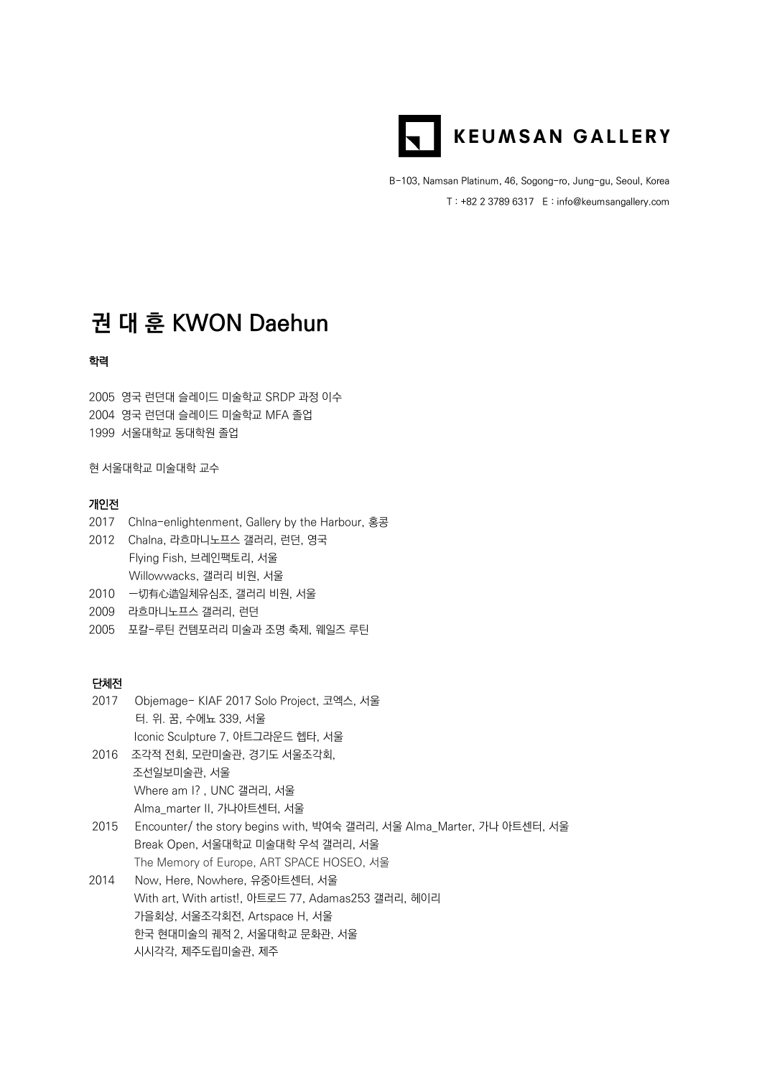

B-103, Namsan Platinum, 46, Sogong-ro, Jung-gu, Seoul, Korea T : +82 2 3789 6317 E : info@keumsangallery.com

# **권 대 훈 KWON Daehun**

#### 학력

2005 영국 런던대 슬레이드 미술학교 SRDP 과정 이수 2004 영국 런던대 슬레이드 미술학교 MFA 졸업 1999 서울대학교 동대학원 졸업

현 서울대학교 미술대학 교수

#### 개인전

- 2017 Chlna-enlightenment, Gallery by the Harbour, 홍콩
- 2012 Chalna, 라흐마니노프스 갤러리, 런던, 영국 Flying Fish, 브레인팩토리, 서울 Willowwacks, 갤러리 비원, 서울
- 2010 一切有心造일체유심조, 갤러리 비원, 서울
- 2009 라흐마니노프스 갤러리, 런던
- 2005 포칼-루틴 컨템포러리 미술과 조명 축제, 웨일즈 루틴

### 단체전

- 2017 Objemage- KIAF 2017 Solo Project, 코엑스, 서울 터. 위. 꿈, 수에뇨 339, 서울 Iconic Sculpture 7, 아트그라운드 헵타, 서울
- 2016 조각적 전회, 모란미술관, 경기도 서울조각회,
- 조선일보미술관, 서울 Where am I? , UNC 갤러리, 서울
	- Alma\_marter II, 가나아트센터, 서울
- 2015 Encounter/ the story begins with, 박여숙 갤러리, 서울 Alma\_Marter, 가나 아트센터, 서울 Break Open, 서울대학교 미술대학 우석 갤러리, 서울 The Memory of Europe, ART SPACE HOSEO, 서울
- 2014 Now, Here, Nowhere, 유중아트센터, 서울 With art, With artist!, 아트로드 77, Adamas253 갤러리, 헤이리 가을회상, 서울조각회전, Artspace H, 서울 한국 현대미술의 궤적 2, 서울대학교 문화관, 서울 시시각각, 제주도립미술관, 제주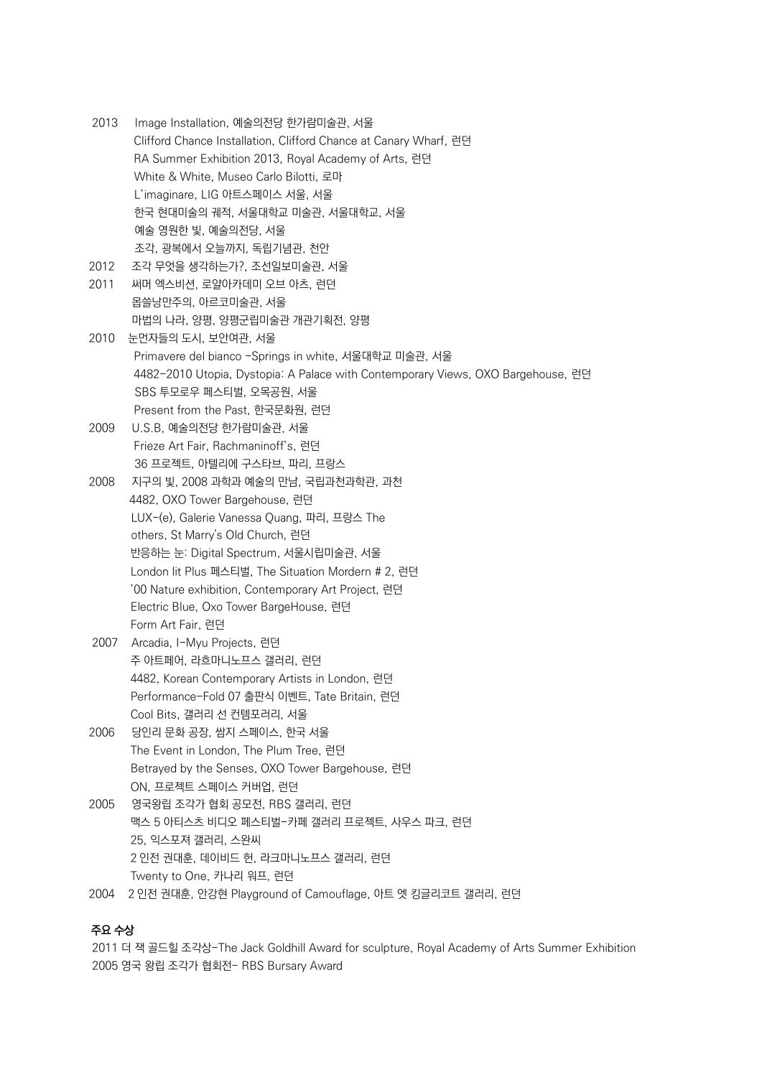2013 Image Installation, 예술의전당 한가람미술관, 서울 Clifford Chance Installation, Clifford Chance at Canary Wharf, 런던 RA Summer Exhibition 2013, Royal Academy of Arts, 런던 White & White, Museo Carlo Bilotti, 로마 L'imaginare, LIG 아트스페이스 서울, 서울 한국 현대미술의 궤적, 서울대학교 미술관, 서울대학교, 서울 예술 영원한 빛, 예술의전당, 서울 조각, 광복에서 오늘까지, 독립기념관, 천안

2012 조각 무엇을 생각하는가?, 조선일보미술관, 서울

- 2011 써머 엑스비션, 로얄아카데미 오브 아츠, 런던 몹쓸낭만주의, 아르코미술관, 서울 마법의 나라, 양평, 양평군립미술관 개관기획전, 양평
- 2010 눈먼자들의 도시, 보안여관, 서울 Primavere del bianco -Springs in white, 서울대학교 미술관, 서울 4482-2010 Utopia, Dystopia: A Palace with Contemporary Views, OXO Bargehouse, 런던 SBS 투모로우 페스티벌, 오목공원, 서울 Present from the Past, 한국문화원, 런던
- 2009 U.S.B, 예술의전당 한가람미술관, 서울 Frieze Art Fair, Rachmaninoff's, 런던 36 프로젝트, 아텔리에 구스타브, 파리, 프랑스
- 2008 지구의 빛, 2008 과학과 예술의 만남, 국립과천과학관, 과천 4482, OXO Tower Bargehouse, 런던 LUX-(e), Galerie Vanessa Quang, 파리, 프랑스 The others, St Marry's Old Church, 런던 [반응하는](http://seoulmoa.seoul.go.kr/html/eng/exhibitions/past_detail.jsp?display_seq=2008-07-1&year=2008) [눈](http://seoulmoa.seoul.go.kr/html/eng/exhibitions/past_detail.jsp?display_seq=2008-07-1&year=2008)[: Digital Spectrum,](http://seoulmoa.seoul.go.kr/html/eng/exhibitions/past_detail.jsp?display_seq=2008-07-1&year=2008) 서울시립미술관, 서울 London lit Plus 페스티벌, The Situation Mordern # 2, 런던 '00 Nature exhibition, Contemporary Art Project, 런던 Electric Blue, Oxo Tower BargeHouse, 런던 Form Art Fair, 런던
- 2007 Arcadia, I-Myu Projects, 런던 주 아트페어, 라흐마니노프스 갤러리, 런던 4482, Korean Contemporary Artists in London, 런던 Performance-Fold 07 출판식 이벤트, Tate Britain, 런던 Cool Bits, 갤러리 선 컨템포러리, 서울
- 2006 당인리 문화 공장, 쌈지 스페이스, 한국 서울 The Event in London, The Plum Tree, 런던 Betrayed by the Senses, OXO Tower Bargehouse, 런던 ON, 프로젝트 스페이스 커버업, 런던
- 2005 영국왕립 조각가 협회 공모전, RBS 갤러리, 런던 맥스 5 아티스츠 비디오 페스티벌-카페 갤러리 프로젝트, 사우스 파크, 런던 25, 익스포져 갤러리, 스완씨 2 인전 권대훈, 데이비드 헌, 라크마니노프스 갤러리, 런던 Twenty to One, 카나리 워프, 런던
- 2004 2 인전 권대훈, 안강현 Playground of Camouflage, 아트 엣 킹글리코트 갤러리, 런던

## 주요 수상

2011 더 잭 골드힐 조각상-The Jack Goldhill Award for sculpture, Royal Academy of Arts Summer Exhibition 2005 영국 왕립 조각가 협회전- RBS Bursary Award